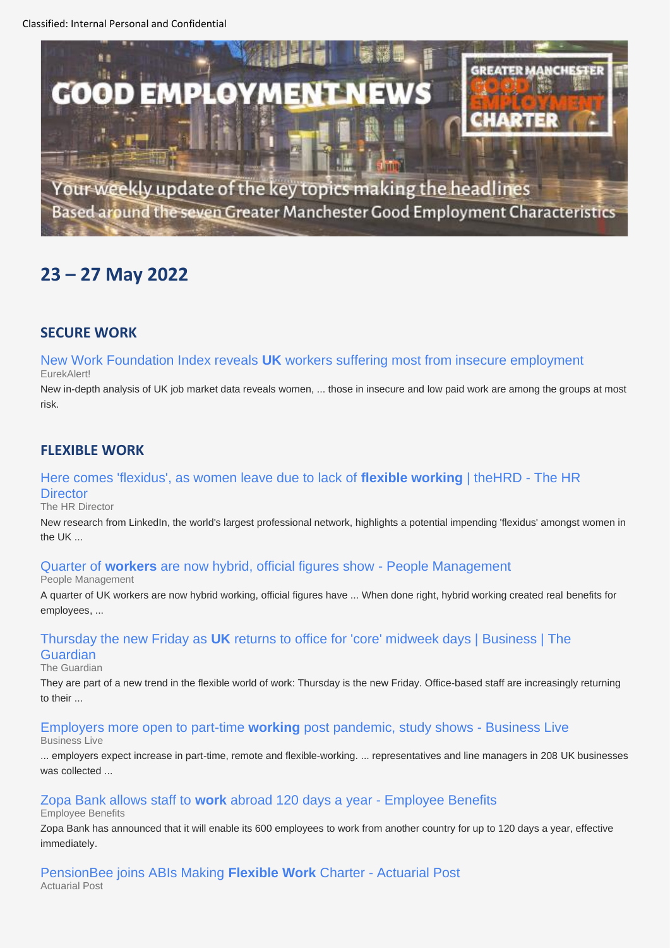Classified: Internal Personal and Confidential





Your weekly update of the key topics making the headlines Based around the seven Greater Manchester Good Employment Characteristics

# **23 – 27 May 2022**

### **SECURE WORK**

New Work Foundation Index reveals **UK** [workers suffering most from insecure employment](https://www.google.com/url?rct=j&sa=t&url=https://www.eurekalert.org/news-releases/953855&ct=ga&cd=CAEYAioTODIyNzYyMjQwMjkxMzQ3NTM1NDIcMTUyOWEzN2NjZDViYmY5Nzpjby51azplbjpHQg&usg=AOvVaw2F_3EGhd_5UMxwoeyfbMjs)  EurekAlert!

New in-depth analysis of UK job market data reveals women, ... those in insecure and low paid work are among the groups at most risk.

### **FLEXIBLE WORK**

### [Here comes 'flexidus', as women leave due to lack of](https://www.google.com/url?rct=j&sa=t&url=https://www.thehrdirector.com/business-news/employment/comes-flexidus-women-leave-due-lack-flexible-working/&ct=ga&cd=CAEYACoUMTYxMzQ3NjYyMjM0Mjk1NDQ1MDUyHGRkODc4ZTFhZjMyYzEyMzg6Y28udWs6ZW46R0I&usg=AOvVaw3wXY2drFgIdI_KBHhx0gvn) **flexible working** | theHRD - The HR **Director**

#### The HR Director

New research from LinkedIn, the world's largest professional network, highlights a potential impending 'flexidus' amongst women in the UK ...

### Quarter of **workers** [are now hybrid, official figures show -](https://www.google.com/url?rct=j&sa=t&url=https://www.peoplemanagement.co.uk/article/1787191/quarter-workers-hybrid-official-figures-show&ct=ga&cd=CAEYBSoSNzU5NzU0OTA3Nzk0NDk0MzM2Mhw4OTViZGM0NTUyOThmZDMwOmNvLnVrOmVuOkdC&usg=AOvVaw3vHYrsJk9MpK7Nzn7usL7u) People Management

People Management

A quarter of UK workers are now hybrid working, official figures have ... When done right, hybrid working created real benefits for employees, ...

### Thursday the new Friday as **UK** [returns to office for 'core' midweek days | Business | The](https://www.google.com/url?rct=j&sa=t&url=https://www.theguardian.com/business/2022/may/24/thursday-new-friday-uk-returns-to-the-office-midweek-days-remote-working&ct=ga&cd=CAEYACoTMTkyMjQ5MjE5MDk5MTMwNjg0NzIcZGQ4NzhlMWFmMzJjMTIzODpjby51azplbjpHQg&usg=AOvVaw1NHgs-fWM_LJmzN3uNcHrn)

### **Guardian**

The Guardian

They are part of a new trend in the flexible world of work: Thursday is the new Friday. Office-based staff are increasingly returning to their ...

[Employers more open to part-time](https://www.google.com/url?rct=j&sa=t&url=https://www.business-live.co.uk/enterprise/employers-more-open-part-time-24045220&ct=ga&cd=CAEYBSoSNDQzOTg0NTYyOTI1NDMzMzkxMhxkZDg3OGUxYWYzMmMxMjM4OmNvLnVrOmVuOkdC&usg=AOvVaw2uo3YNxKQJdJQt7bxz0IDl) **working** post pandemic, study shows - Business Live Business Live

... employers expect increase in part-time, remote and flexible-working. ... representatives and line managers in 208 UK businesses was collected ...

### [Zopa Bank allows staff to](https://www.google.com/url?rct=j&sa=t&url=https://employeebenefits.co.uk/zopa-bank-allows-staff-to-work-abroad-120-days-a-year/&ct=ga&cd=CAEYACoUMTQyMTkwMTczNTA2NDIyNTQ0OTkyHGZjYjgwZjQwZWYxMzJiNzc6Y28udWs6ZW46R0I&usg=AOvVaw0HHz3RsGuRjN1nQL_xBrqj) **work** abroad 120 days a year - Employee Benefits

Employee Benefits

Zopa Bank has announced that it will enable its 600 employees to work from another country for up to 120 days a year, effective immediately.

[PensionBee joins ABIs Making](https://www.google.com/url?rct=j&sa=t&url=https://www.actuarialpost.co.uk/article/pensionbee-joins-abis-making-flexible-work-charter-20837.htm&ct=ga&cd=CAEYBSoUMTYzNzk4OTAzMDMwNzk0NTcwOTgyHGRkODc4ZTFhZjMyYzEyMzg6Y28udWs6ZW46R0I&usg=AOvVaw0vr8PAUBPuWL1FbkrGcXLk) **Flexible Work** Charter - Actuarial Post Actuarial Post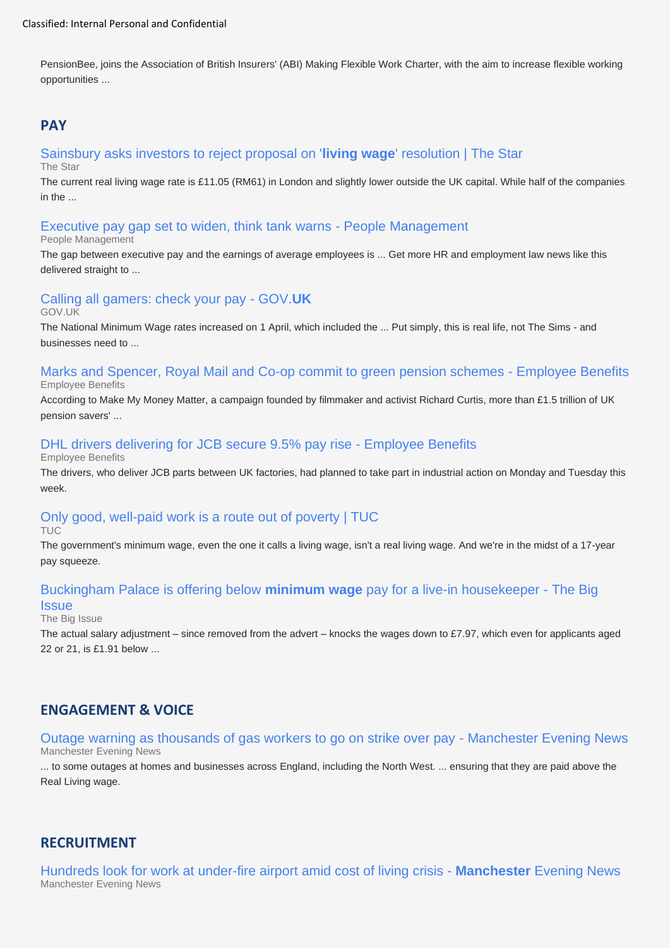PensionBee, joins the Association of British Insurers' (ABI) Making Flexible Work Charter, with the aim to increase flexible working opportunities ...

### **PAY**

### [Sainsbury asks investors to reject proposal on '](https://www.google.com/url?rct=j&sa=t&url=https://www.thestar.com.my/business/business-news/2022/05/23/sainsbury-asks-investors-to-reject-proposal-on-living-wage-resolution&ct=ga&cd=CAEYACoUMTc2Mzk0MzY4Mjg3Mjg2MDk4NjYyHGQzNmE4MmY5ODMyMDFjMzY6Y28udWs6ZW46R0I&usg=AOvVaw27Y8i4bld4mcIFfXjD23_f)**living wage**' resolution | The Star

The Star

The current real living wage rate is £11.05 (RM61) in London and slightly lower outside the UK capital. While half of the companies in the ...

### [Executive pay gap set to widen, think tank warns -](https://www.google.com/url?rct=j&sa=t&url=https://www.peoplemanagement.co.uk/article/1787194/executive-pay-gap-set-widen-think-tank-warns&ct=ga&cd=CAEYASoTOTUwNDA5NzIxNzgzNjkxMzUwNzIcMmNmNjZjN2VhOWNhYmIyMjpjby51azplbjpHQg&usg=AOvVaw3tZKGoR-X2wDwEJ8yaumCt) People Management

#### People Management

The gap between executive pay and the earnings of average employees is ... Get more HR and employment law news like this delivered straight to ...

### [Calling all gamers: check your pay -](https://www.google.com/url?rct=j&sa=t&url=https://www.gov.uk/government/news/calling-all-gamers-check-your-pay&ct=ga&cd=CAEYACoTMjkxMDk2NzY2MzY2ODQ3MjkyODIcZDM2YTgyZjk4MzIwMWMzNjpjby51azplbjpHQg&usg=AOvVaw2C-fduzWb0VeuJvVb8mWhF) GOV.**UK**

#### GOV.UK

The National Minimum Wage rates increased on 1 April, which included the ... Put simply, this is real life, not The Sims - and businesses need to ...

#### Marks and Spencer, [Royal Mail and Co-op commit to green pension schemes -](https://www.google.com/url?rct=j&sa=t&url=https://www.employeebenefits.co.uk/marks-and-spencer-royal-mail-and-co-op-commit-to-green-pension-schemes/&ct=ga&cd=CAEYASoUMTQyMTkwMTczNTA2NDIyNTQ0OTkyHGZjYjgwZjQwZWYxMzJiNzc6Y28udWs6ZW46R0I&usg=AOvVaw2djfqHzS8kLOK3Y46pg1Cl) Employee Benefits Employee Benefits

According to Make My Money Matter, a campaign founded by filmmaker and activist Richard Curtis, more than £1.5 trillion of UK pension savers' ...

### [DHL drivers delivering for JCB secure 9.5% pay rise -](https://www.google.com/url?rct=j&sa=t&url=https://employeebenefits.co.uk/dhl-delivery-drivers-jcb-secure-9-5-pay-rise/&ct=ga&cd=CAEYASoTODM3MDk5NDk4ODQ2ODgwMjEyMjIcODk1YmRjNDU1Mjk4ZmQzMDpjby51azplbjpHQg&usg=AOvVaw3WP6aVuYmIqVGQLnHSSr25) Employee Benefits

Employee Benefits

The drivers, who deliver JCB parts between UK factories, had planned to take part in industrial action on Monday and Tuesday this week.

## [Only good, well-paid work is a route out of poverty | TUC](https://www.google.com/url?rct=j&sa=t&url=https://www.tuc.org.uk/blogs/only-good-well-paid-work-route-out-poverty&ct=ga&cd=CAEYACoUMTQ5MTQ0NDg1MTQ0NzE4MzMyMzkyHGQzNmE4MmY5ODMyMDFjMzY6Y28udWs6ZW46R0I&usg=AOvVaw32B1jjzzwmgTW9bXzDgiJH)

TUC

The government's minimum wage, even the one it calls a living wage, isn't a real living wage. And we're in the midst of a 17-year pay squeeze.

### [Buckingham Palace is offering below](https://www.google.com/url?rct=j&sa=t&url=https://www.bigissue.com/news/employment/buckingham-palace-below-minimum-wage-pay-live-in-housekeeper/&ct=ga&cd=CAEYASoUMTQ5MTQ0NDg1MTQ0NzE4MzMyMzkyHGQzNmE4MmY5ODMyMDFjMzY6Y28udWs6ZW46R0I&usg=AOvVaw3Xey0jVw4S-bbjYePNtnnc) **minimum wage** pay for a live-in housekeeper - The Big

#### **Issue**

#### The Big Issue

The actual salary adjustment – since removed from the advert – knocks the wages down to £7.97, which even for applicants aged 22 or 21, is £1.91 below ...

### **ENGAGEMENT & VOICE**

#### [Outage warning as thousands of gas workers to go on strike over pay -](https://www.google.com/url?rct=j&sa=t&url=https://www.manchestereveningnews.co.uk/news/greater-manchester-news/outage-warning-thousands-gas-workers-24054610&ct=ga&cd=CAEYCSoUMTgyNDQ2ODY4NDUwOTUzODQ5MTAyHGQzNmE4MmY5ODMyMDFjMzY6Y28udWs6ZW46R0I&usg=AOvVaw37WXTE11NS5yrTmTE_uSrO) Manchester Evening News Manchester Evening News

... to some outages at homes and businesses across England, including the North West. ... ensuring that they are paid above the Real Living wage.

### **RECRUITMENT**

[Hundreds look for work at under-fire airport amid cost of living crisis -](https://www.google.com/url?rct=j&sa=t&url=https://www.manchestereveningnews.co.uk/news/greater-manchester-news/its-just-getting-your-foot-24049110&ct=ga&cd=CAEYBCoTNzQ2MzM1NTQwMzg5NTE1NzAwNTIcOWEwN2U3OGU2MmRlOTVkNzpjby51azplbjpHQg&usg=AOvVaw0bRsRDlytgqlHONOBqvI7t) **Manchester** Evening News Manchester Evening News